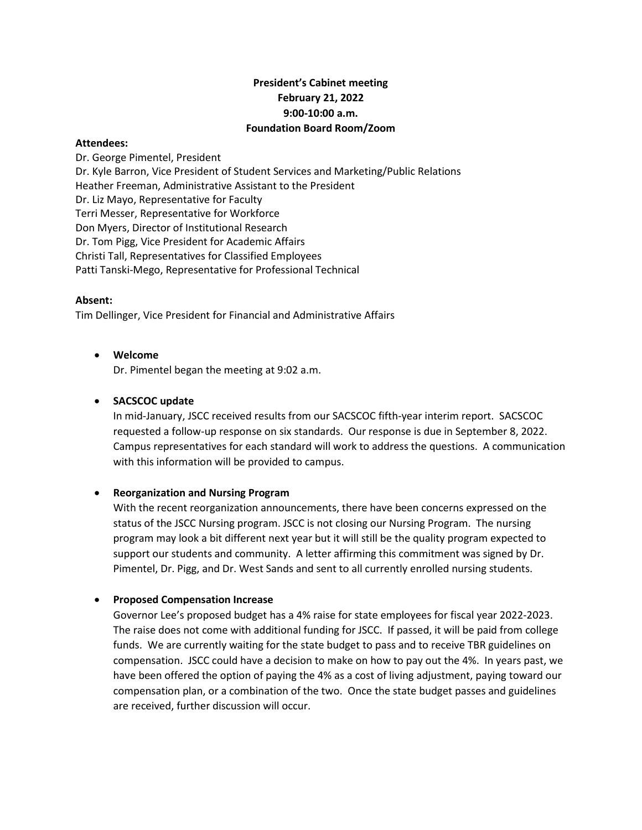# **President's Cabinet meeting February 21, 2022 9:00-10:00 a.m. Foundation Board Room/Zoom**

#### **Attendees:**

Dr. George Pimentel, President Dr. Kyle Barron, Vice President of Student Services and Marketing/Public Relations Heather Freeman, Administrative Assistant to the President Dr. Liz Mayo, Representative for Faculty Terri Messer, Representative for Workforce Don Myers, Director of Institutional Research Dr. Tom Pigg, Vice President for Academic Affairs Christi Tall, Representatives for Classified Employees Patti Tanski-Mego, Representative for Professional Technical

#### **Absent:**

Tim Dellinger, Vice President for Financial and Administrative Affairs

• **Welcome**

Dr. Pimentel began the meeting at 9:02 a.m.

## • **SACSCOC update**

In mid-January, JSCC received results from our SACSCOC fifth-year interim report. SACSCOC requested a follow-up response on six standards. Our response is due in September 8, 2022. Campus representatives for each standard will work to address the questions. A communication with this information will be provided to campus.

## • **Reorganization and Nursing Program**

With the recent reorganization announcements, there have been concerns expressed on the status of the JSCC Nursing program. JSCC is not closing our Nursing Program. The nursing program may look a bit different next year but it will still be the quality program expected to support our students and community. A letter affirming this commitment was signed by Dr. Pimentel, Dr. Pigg, and Dr. West Sands and sent to all currently enrolled nursing students.

## • **Proposed Compensation Increase**

Governor Lee's proposed budget has a 4% raise for state employees for fiscal year 2022-2023. The raise does not come with additional funding for JSCC. If passed, it will be paid from college funds. We are currently waiting for the state budget to pass and to receive TBR guidelines on compensation. JSCC could have a decision to make on how to pay out the 4%. In years past, we have been offered the option of paying the 4% as a cost of living adjustment, paying toward our compensation plan, or a combination of the two. Once the state budget passes and guidelines are received, further discussion will occur.